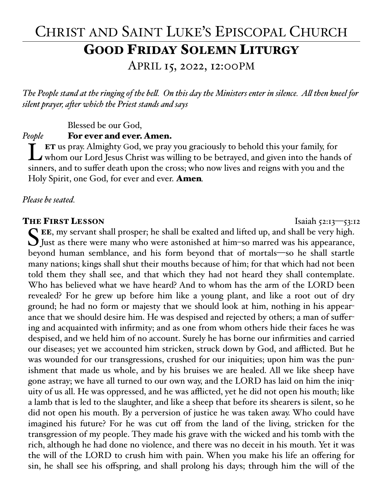# CHRIST AND SAINT LUKE'S EPISCOPAL CHURCH GOOD FRIDAY SOLEMN LITURGY

APRIL 15, 2022, 12:00PM

*The People stand at the ringing of the bell. On this day the Ministers enter in silence. All then kneel for silent prayer, after which the Priest stands and says*

Blessed be our God,

*People* **For ever and ever. Amen.** 

**LET** us pray. Almighty God, we pray you graciously to behold this your family, for whom our Lord Jesus Christ was willing to be betrayed, and given into the hands of sinners, and to suffer death upon the cross; who now lives and reigns with you and the Holy Spirit, one God, for ever and ever. Amen*.*

*Please be seated.*

#### THE FIRST LESSON Isaiah 52:13—53:12

S EE, my servant shall prosper; he shall be exalted and lifted up, and shall be very high.<br>Just as there were many who were astonished at him–so marred was his appearance, beyond human semblance, and his form beyond that of mortals—so he shall startle many nations; kings shall shut their mouths because of him; for that which had not been told them they shall see, and that which they had not heard they shall contemplate. Who has believed what we have heard? And to whom has the arm of the LORD been revealed? For he grew up before him like a young plant, and like a root out of dry ground; he had no form or majesty that we should look at him, nothing in his appearance that we should desire him. He was despised and rejected by others; a man of suffering and acquainted with infirmity; and as one from whom others hide their faces he was despised, and we held him of no account. Surely he has borne our infirmities and carried our diseases; yet we accounted him stricken, struck down by God, and afflicted. But he was wounded for our transgressions, crushed for our iniquities; upon him was the punishment that made us whole, and by his bruises we are healed. All we like sheep have gone astray; we have all turned to our own way, and the LORD has laid on him the iniquity of us all. He was oppressed, and he was afflicted, yet he did not open his mouth; like a lamb that is led to the slaughter, and like a sheep that before its shearers is silent, so he did not open his mouth. By a perversion of justice he was taken away. Who could have imagined his future? For he was cut off from the land of the living, stricken for the transgression of my people. They made his grave with the wicked and his tomb with the rich, although he had done no violence, and there was no deceit in his mouth. Yet it was the will of the LORD to crush him with pain. When you make his life an offering for sin, he shall see his offspring, and shall prolong his days; through him the will of the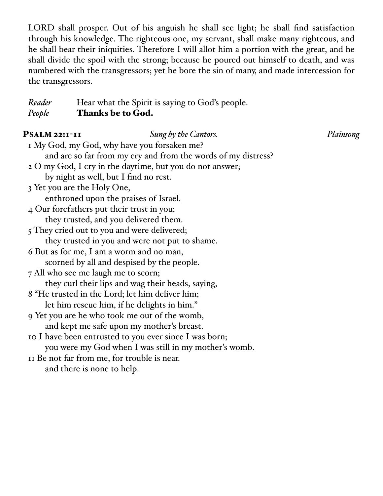LORD shall prosper. Out of his anguish he shall see light; he shall find satisfaction through his knowledge. The righteous one, my servant, shall make many righteous, and he shall bear their iniquities. Therefore I will allot him a portion with the great, and he shall divide the spoil with the strong; because he poured out himself to death, and was numbered with the transgressors; yet he bore the sin of many, and made intercession for the transgressors.

*Reader* Hear what the Spirit is saying to God's people. *People* Thanks be to God.

#### PSALM 22:1-11 *Sung by the Cantors. Plainsong*

1 My God, my God, why have you forsaken me? and are so far from my cry and from the words of my distress? 2 O my God, I cry in the daytime, but you do not answer; by night as well, but I find no rest. 3 Yet you are the Holy One, enthroned upon the praises of Israel. 4 Our forefathers put their trust in you; they trusted, and you delivered them. 5 They cried out to you and were delivered; they trusted in you and were not put to shame. 6 But as for me, I am a worm and no man, scorned by all and despised by the people. 7 All who see me laugh me to scorn; they curl their lips and wag their heads, saying, 8 "He trusted in the Lord; let him deliver him; let him rescue him, if he delights in him." 9 Yet you are he who took me out of the womb, and kept me safe upon my mother's breast. 10 I have been entrusted to you ever since I was born; you were my God when I was still in my mother's womb. 11 Be not far from me, for trouble is near. and there is none to help.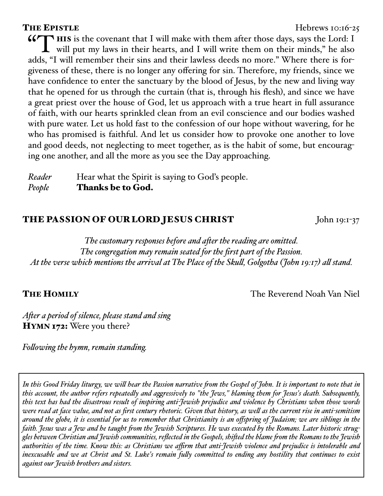**CCT** HIS is the covenant that I will make with them after those days, says the Lord: I will put my laws in their hearts, and I will write them on their minds," he also adds, "I will remember their sins and their lawless deeds no more." Where there is forgiveness of these, there is no longer any offering for sin. Therefore, my friends, since we have confidence to enter the sanctuary by the blood of Jesus, by the new and living way that he opened for us through the curtain (that is, through his flesh), and since we have a great priest over the house of God, let us approach with a true heart in full assurance of faith, with our hearts sprinkled clean from an evil conscience and our bodies washed with pure water. Let us hold fast to the confession of our hope without wavering, for he who has promised is faithful. And let us consider how to provoke one another to love and good deeds, not neglecting to meet together, as is the habit of some, but encouraging one another, and all the more as you see the Day approaching.

| Reader | Hear what the Spirit is saying to God's people. |
|--------|-------------------------------------------------|
| People | <b>Thanks be to God.</b>                        |

### THE PASSION OF OUR LORD JESUS CHRIST John 19:1-37

*The customary responses before and after the reading are omitted. The congregation may remain seated for the first part of the Passion. At the verse which mentions the arrival at The Place of the Skull, Golgotha (John 19:17) all stand.*

THE HOMILY The Reverend Noah Van Niel

*After a period of silence, please stand and sing* HYMN 172: Were you there?

*Following the hymn, remain standing.*

*In this Good Friday liturgy, we will hear the Passion narrative from the Gospel of John. It is important to note that in this account, the author refers repeatedly and aggressively to "the Jews," blaming them for Jesus's death. Subsequently, this text has had the disastrous result of inspiring anti-Jewish prejudice and violence by Christians when those words were read at face value, and not as first century rhetoric. Given that history, as well as the current rise in anti-semitism around the globe, it is essential for us to remember that Christianity is an offspring of Judaism; we are siblings in the faith. Jesus was a Jew and he taught from the Jewish Scriptures. He was executed by the Romans. Later historic struggles between Christian and Jewish communities, reflected in the Gospels, shifted the blame from the Romans to the Jewish authorities of the time. Know this: as Christians we affirm that anti-Jewish violence and prejudice is intolerable and inexcusable and we at Christ and St. Luke's remain fully committed to ending any hostility that continues to exist against our Jewish brothers and sisters.*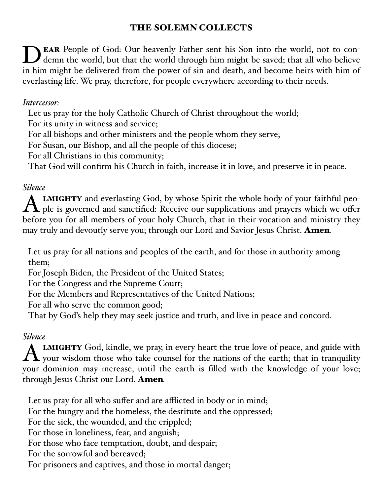# THE SOLEMN COLLECTS

EAR People of God: Our heavenly Father sent his Son into the world, not to condemn the world, but that the world through him might be saved; that all who believe in him might be delivered from the power of sin and death, and become heirs with him of everlasting life. We pray, therefore, for people everywhere according to their needs.

# *Intercessor:*

Let us pray for the holy Catholic Church of Christ throughout the world;

For its unity in witness and service;

For all bishops and other ministers and the people whom they serve;

For Susan, our Bishop, and all the people of this diocese;

For all Christians in this community;

That God will confirm his Church in faith, increase it in love, and preserve it in peace.

# *Silence*

A LMIGHTY and everlasting God, by whose Spirit the whole body of your faithful peo-<br>ple is governed and sanctified: Receive our supplications and prayers which we offer before you for all members of your holy Church, that in their vocation and ministry they may truly and devoutly serve you; through our Lord and Savior Jesus Christ. Amen*.*

Let us pray for all nations and peoples of the earth, and for those in authority among them;

For Joseph Biden, the President of the United States;

For the Congress and the Supreme Court;

For the Members and Representatives of the United Nations;

For all who serve the common good;

That by God's help they may seek justice and truth, and live in peace and concord.

# *Silence*

A LMIGHTY God, kindle, we pray, in every heart the true love of peace, and guide with your wisdom those who take counsel for the nations of the earth; that in tranquility your dominion may increase, until the earth is filled with the knowledge of your love; through Jesus Christ our Lord. Amen*.* 

Let us pray for all who suffer and are afflicted in body or in mind; For the hungry and the homeless, the destitute and the oppressed; For the sick, the wounded, and the crippled; For those in loneliness, fear, and anguish; For those who face temptation, doubt, and despair; For the sorrowful and bereaved; For prisoners and captives, and those in mortal danger;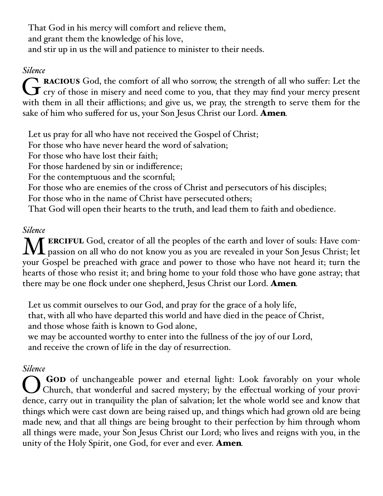That God in his mercy will comfort and relieve them, and grant them the knowledge of his love, and stir up in us the will and patience to minister to their needs.

# *Silence*

GRACIOUS God, the comfort of all who sorrow, the strength of all who suffer: Let the cry of those in misery and need come to you, that they may find your mercy present with them in all their afflictions; and give us, we pray, the strength to serve them for the sake of him who suffered for us, your Son Jesus Christ our Lord. Amen*.*

Let us pray for all who have not received the Gospel of Christ;

For those who have never heard the word of salvation;

For those who have lost their faith;

For those hardened by sin or indifference;

For the contemptuous and the scornful;

For those who are enemies of the cross of Christ and persecutors of his disciples;

For those who in the name of Christ have persecuted others;

That God will open their hearts to the truth, and lead them to faith and obedience.

# *Silence*

MERCIFUL God, creator of all the peoples of the earth and lover of souls: Have com-<br>passion on all who do not know you as you are revealed in your Son Jesus Christ; let your Gospel be preached with grace and power to those who have not heard it; turn the hearts of those who resist it; and bring home to your fold those who have gone astray; that there may be one flock under one shepherd, Jesus Christ our Lord. Amen*.*

Let us commit ourselves to our God, and pray for the grace of a holy life, that, with all who have departed this world and have died in the peace of Christ, and those whose faith is known to God alone,

we may be accounted worthy to enter into the fullness of the joy of our Lord, and receive the crown of life in the day of resurrection.

# *Silence*

GOD of unchangeable power and eternal light: Look favorably on your whole Church, that wonderful and sacred mystery; by the effectual working of your providence, carry out in tranquility the plan of salvation; let the whole world see and know that things which were cast down are being raised up, and things which had grown old are being made new, and that all things are being brought to their perfection by him through whom all things were made, your Son Jesus Christ our Lord; who lives and reigns with you, in the unity of the Holy Spirit, one God, for ever and ever. Amen*.*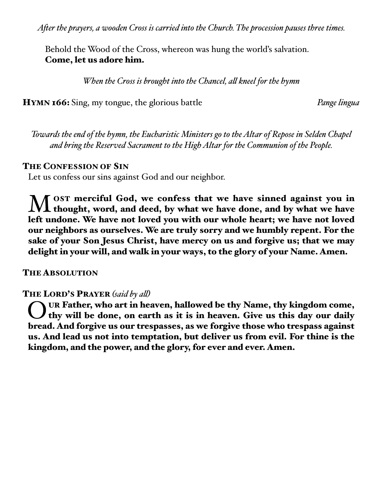*After the prayers, a wooden Cross is carried into the Church. The procession pauses three times.*

Behold the Wood of the Cross, whereon was hung the world's salvation. Come, let us adore him.

*When the Cross is brought into the Chancel, all kneel for the hymn*

HYMN 166: Sing, my tongue, the glorious battle *Pange lingua*

*Towards the end of the hymn, the Eucharistic Ministers go to the Altar of Repose in Selden Chapel and bring the Reserved Sacrament to the High Altar for the Communion of the People.* 

### THE CONFESSION OF SIN

Let us confess our sins against God and our neighbor.

M OST merciful God, we confess that we have sinned against you in<br>M thought, word, and deed, by what we have done, and by what we have left undone. We have not loved you with our whole heart; we have not loved our neighbors as ourselves. We are truly sorry and we humbly repent. For the sake of your Son Jesus Christ, have mercy on us and forgive us; that we may delight in your will, and walk in your ways, to the glory of your Name. Amen.

### THE ABSOLUTION

### THE LORD'S PRAYER *(said by all)*

O UR Father, who art in heaven, hallowed be thy Name, thy kingdom come,<br>thy will be done, on earth as it is in heaven. Give us this day our daily bread. And forgive us our trespasses, as we forgive those who trespass against us. And lead us not into temptation, but deliver us from evil. For thine is the kingdom, and the power, and the glory, for ever and ever. Amen.